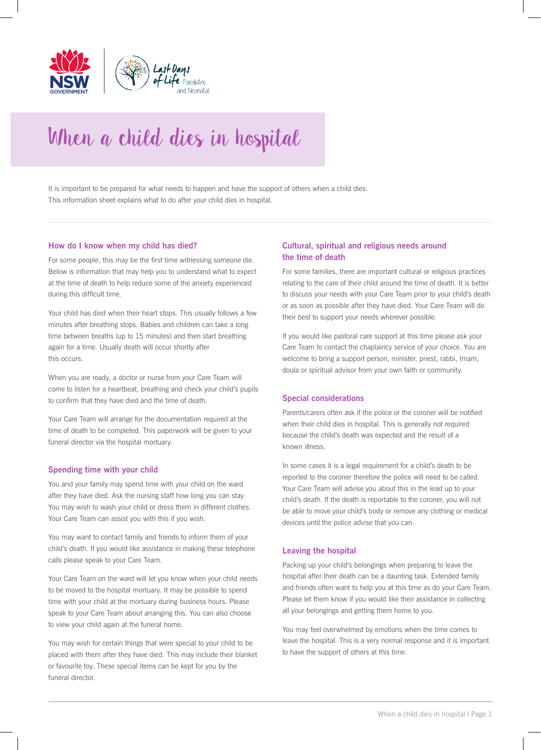

# When a child dies in hospital

It is important to be prepared for what needs to happen and have the support of others when a child dies. This information sheet explains what to do after your child dies in hospital.

### **How do I know when my child has died?**

For some people, this may be the first time witnessing someone die. Below is information that may help you to understand what to expect at the time of death to help reduce some of the anxiety experienced during this difficult time.

Your child has died when their heart stops. This usually follows a few minutes after breathing stops. Babies and children can take a long time between breaths (up to 15 minutes) and then start breathing again for a time. Usually death will occur shortly after this occurs.

When you are ready, a doctor or nurse from your Care Team will come to listen for a heartbeat, breathing and check your child's pupils to confirm that they have died and the time of death.

Your Care Team will arrange for the documentation required at the time of death to be completed. This paperwork will be given to your funeral director via the hospital mortuary.

#### **Spending time with your child**

You and your family may spend time with your child on the ward after they have died. Ask the nursing staff how long you can stay. You may wish to wash your child or dress them in different clothes. Your Care Team can assist you with this if you wish.

You may want to contact family and friends to inform them of your child's death. If you would like assistance in making these telephone calls please speak to your Care Team.

Your Care Team on the ward will let you know when your child needs to be moved to the hospital mortuary. It may be possible to spend time with your child at the mortuary during business hours. Please speak to your Care Team about arranging this. You can also choose to view your child again at the funeral home.

You may wish for certain things that were special to your child to be placed with them after they have died. This may include their blanket or favourite toy. These special items can be kept for you by the funeral director.

## **Cultural, spiritual and religious needs around the time of death**

For some families, there are important cultural or religious practices relating to the care of their child around the time of death. It is better to discuss your needs with your Care Team prior to your child's death or as soon as possible after they have died. Your Care Team will do their best to support your needs wherever possible.

If you would like pastoral care support at this time please ask your Care Team to contact the chaplaincy service of your choice. You are welcome to bring a support person, minister, priest, rabbi, Imam, doula or spiritual advisor from your own faith or community.

## **Special considerations**

Parents/carers often ask if the police or the coroner will be notified when their child dies in hospital. This is generally not required because the child's death was expected and the result of a known illness.

In some cases it is a legal requirement for a child's death to be reported to the coroner therefore the police will need to be called. Your Care Team will advise you about this in the lead up to your child's death. If the death is reportable to the coroner, you will not be able to move your child's body or remove any clothing or medical devices until the police advise that you can.

#### **Leaving the hospital**

Packing up your child's belongings when preparing to leave the hospital after their death can be a daunting task. Extended family and friends often want to help you at this time as do your Care Team. Please let them know if you would like their assistance in collecting all your belongings and getting them home to you.

You may feel overwhelmed by emotions when the time comes to leave the hospital. This is a very normal response and it is important to have the support of others at this time.